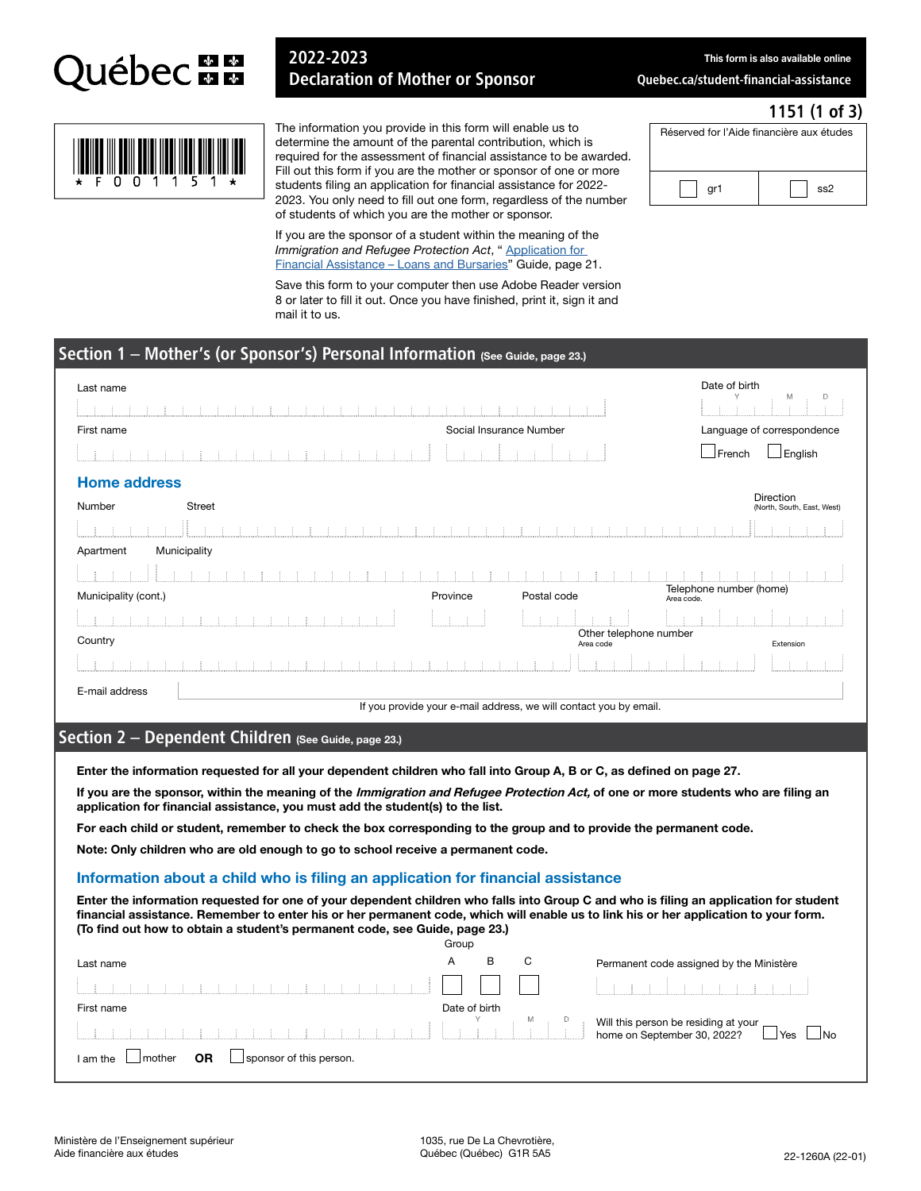

## 2022-2023 Declaration of Mother or Sponsor

This form is also available online

1151 (1 of 3)

[Quebec.ca/student-financial-assistance](www.quebec.ca/student-financial-assistance)

Réserved for l'Aide financière aux études

gr1  $\vert$   $\vert$  ss2



The information you provide in this form will enable us to determine the amount of the parental contribution, which is required for the assessment of financial assistance to be awarded. Fill out this form if you are the mother or sponsor of one or more students filing an application for financial assistance for 2022- 2023. You only need to fill out one form, regardless of the number of students of which you are the mother or sponsor.

If you are the sponsor of a student within the meaning of the *Immigration and Refugee Protection Act*, " Application for [Financial Assistance – Loans and Bursaries" Guide, page 21](http://www.afe.gouv.qc.ca/en/all-publications/detail/application-for-financial-assistance-loans-and-bursaries-guide-1/).

Save this form to your computer then use Adobe Reader version 8 or later to fill it out. Once you have finished, print it, sign it and mail it to us.

## Section 1 – Mother's (or Sponsor's) Personal Information (See Guide, page 23.)

| Last name            |               |          |                                                                   | Date of birth<br>M<br>D                 |
|----------------------|---------------|----------|-------------------------------------------------------------------|-----------------------------------------|
|                      |               |          |                                                                   |                                         |
| First name           |               |          | Social Insurance Number                                           | Language of correspondence              |
|                      |               |          |                                                                   | English<br>$\Box$ French                |
| <b>Home address</b>  |               |          |                                                                   |                                         |
| Number               | <b>Street</b> |          |                                                                   | Direction<br>(North, South, East, West) |
|                      |               |          |                                                                   |                                         |
| Apartment            | Municipality  |          |                                                                   |                                         |
|                      |               |          |                                                                   |                                         |
| Municipality (cont.) |               | Province | Postal code                                                       | Telephone number (home)<br>Area code.   |
|                      |               |          |                                                                   |                                         |
| Country              |               |          | Other telephone number<br>Area code                               | Extension                               |
|                      |               |          |                                                                   |                                         |
| E-mail address       |               |          |                                                                   |                                         |
|                      |               |          | If you provide your e-mail address, we will contact you by email. |                                         |

## Section 2 - Dependent Children (See Guide, page 23.)

Enter the information requested for all your dependent children who fall into Group A, B or C, as defined on page 27.

If you are the sponsor, within the meaning of the Immigration and Refugee Protection Act, of one or more students who are filing an application for financial assistance, you must add the student(s) to the list.

For each child or student, remember to check the box corresponding to the group and to provide the permanent code.

Note: Only children who are old enough to go to school receive a permanent code.

#### Information about a child who is filing an application for financial assistance

Enter the information requested for one of your dependent children who falls into Group C and who is filing an application for student financial assistance. Remember to enter his or her permanent code, which will enable us to link his or her application to your form. (To find out how to obtain a student's permanent code, see Guide, page 23.)

|                                                      | Group |               |   |                                                              |
|------------------------------------------------------|-------|---------------|---|--------------------------------------------------------------|
| Last name                                            | A     | в             | С | Permanent code assigned by the Ministère                     |
| a car a car a car a car a car a                      |       |               |   |                                                              |
| First name                                           |       | Date of birth |   |                                                              |
|                                                      |       |               |   | Will this person be residing at your $\Box$<br>' lyes<br>⊥No |
| sponsor of this person.<br>OR<br>Imother<br>I am the |       |               |   |                                                              |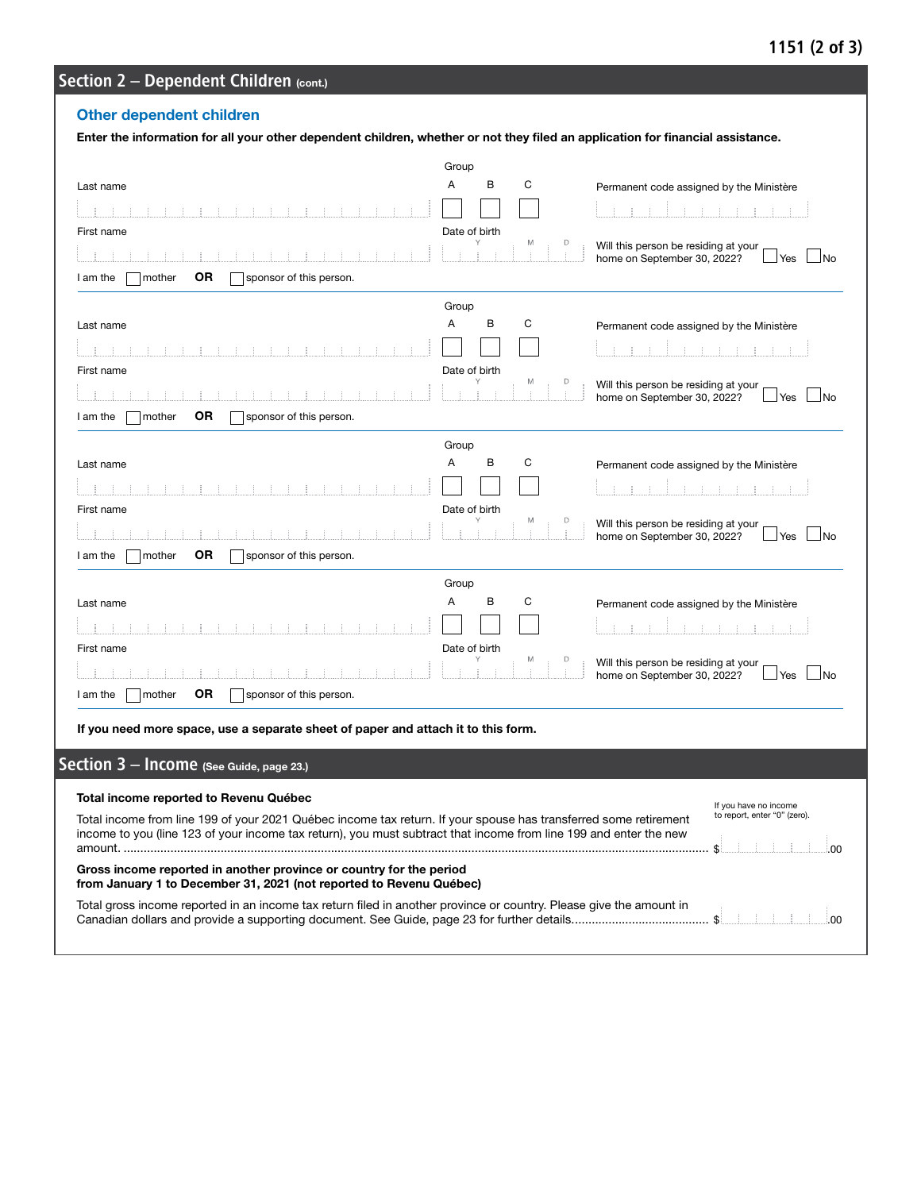## 1151 (2 of 3)

# Section 2 - Dependent Children (cont.)

## Other dependent children

| Enter the information for all your other dependent children, whether or not they filed an application for financial assistance.                                                                                                       |                    |                                                                                           |
|---------------------------------------------------------------------------------------------------------------------------------------------------------------------------------------------------------------------------------------|--------------------|-------------------------------------------------------------------------------------------|
|                                                                                                                                                                                                                                       | Group              |                                                                                           |
| Last name                                                                                                                                                                                                                             | Α<br>В<br>С        | Permanent code assigned by the Ministère                                                  |
|                                                                                                                                                                                                                                       |                    |                                                                                           |
| First name                                                                                                                                                                                                                            | Date of birth<br>M |                                                                                           |
|                                                                                                                                                                                                                                       |                    | Will this person be residing at your<br>home on September 30, 2022?<br>$\Box$ No<br>⊿ Yes |
| OR<br>mother<br>sponsor of this person.<br>I am the                                                                                                                                                                                   |                    |                                                                                           |
|                                                                                                                                                                                                                                       | Group              |                                                                                           |
| Last name                                                                                                                                                                                                                             | Α<br>В<br>С        | Permanent code assigned by the Ministère                                                  |
|                                                                                                                                                                                                                                       |                    |                                                                                           |
| First name                                                                                                                                                                                                                            | Date of birth      |                                                                                           |
|                                                                                                                                                                                                                                       | M<br>D             | Will this person be residing at your<br>home on September 30, 2022?<br>$\Box$ No<br>⊿Yes  |
| <b>OR</b><br>mother<br>sponsor of this person.<br>I am the                                                                                                                                                                            |                    |                                                                                           |
|                                                                                                                                                                                                                                       | Group              |                                                                                           |
| Last name                                                                                                                                                                                                                             | Α<br>В<br>С        | Permanent code assigned by the Ministère                                                  |
|                                                                                                                                                                                                                                       |                    |                                                                                           |
| First name                                                                                                                                                                                                                            | Date of birth      |                                                                                           |
|                                                                                                                                                                                                                                       | M<br>D             | Will this person be residing at your<br>home on September 30, 2022?<br>Yes<br>⊥No         |
| <b>OR</b><br>mother<br>sponsor of this person.<br>I am the                                                                                                                                                                            |                    |                                                                                           |
|                                                                                                                                                                                                                                       | Group              |                                                                                           |
| Last name                                                                                                                                                                                                                             | Α<br>В<br>С        | Permanent code assigned by the Ministère                                                  |
|                                                                                                                                                                                                                                       |                    |                                                                                           |
| First name                                                                                                                                                                                                                            | Date of birth      |                                                                                           |
|                                                                                                                                                                                                                                       |                    | Will this person be residing at your<br>home on September 30, 2022?<br>⊿ Yes<br>⊿No       |
| mother<br>OR<br>sponsor of this person.<br>I am the                                                                                                                                                                                   |                    |                                                                                           |
| If you need more space, use a separate sheet of paper and attach it to this form.                                                                                                                                                     |                    |                                                                                           |
|                                                                                                                                                                                                                                       |                    |                                                                                           |
| Section 3 - Income (See Guide, page 23.)                                                                                                                                                                                              |                    |                                                                                           |
| Total income reported to Revenu Québec                                                                                                                                                                                                |                    |                                                                                           |
| Total income from line 199 of your 2021 Québec income tax return. If your spouse has transferred some retirement<br>income to you (line 123 of your income tax return), you must subtract that income from line 199 and enter the new |                    | If you have no income<br>to report, enter "0" (zero).<br>\$<br>00                         |
| Gross income reported in another province or country for the period                                                                                                                                                                   |                    |                                                                                           |
| from January 1 to December 31, 2021 (not reported to Revenu Québec)                                                                                                                                                                   |                    |                                                                                           |